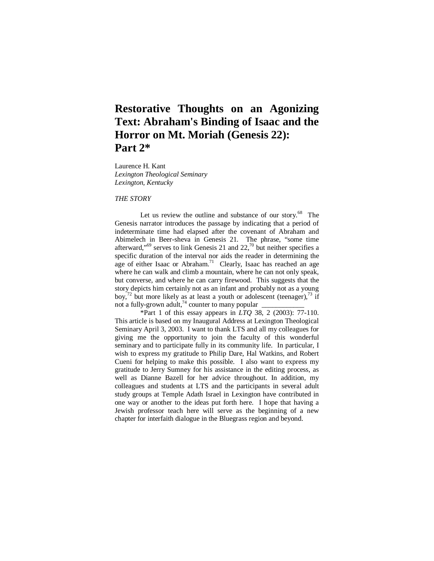# **Restorative Thoughts on an Agonizing Text: Abraham's Binding of Isaac and the Horror on Mt. Moriah (Genesis 22): Part 2\***

Laurence H. Kant *Lexington Theological Seminary Lexington, Kentucky* 

*THE STORY* 

Let us review the outline and substance of our story.<sup>68</sup> The Genesis narrator introduces the passage by indicating that a period of indeterminate time had elapsed after the covenant of Abraham and Abimelech in Beer-sheva in Genesis 21. The phrase, "some time afterward,"<sup>69</sup> serves to link Genesis 21 and  $22$ , $\frac{70}{10}$  but neither specifies a specific duration of the interval nor aids the reader in determining the age of either Isaac or Abraham.<sup>71</sup> Clearly, Isaac has reached an age where he can walk and climb a mountain, where he can not only speak, but converse, and where he can carry firewood. This suggests that the story depicts him certainly not as an infant and probably not as a young boy,<sup>72</sup> but more likely as at least a youth or adolescent (teenager),<sup>73</sup> if not a fully-grown adult,<sup>74</sup> counter to many popular

\*Part 1 of this essay appears in *LTQ* 38, 2 (2003): 77-110. This article is based on my Inaugural Address at Lexington Theological Seminary April 3, 2003. I want to thank LTS and all my colleagues for giving me the opportunity to join the faculty of this wonderful seminary and to participate fully in its community life. In particular, I wish to express my gratitude to Philip Dare, Hal Watkins, and Robert Cueni for helping to make this possible. I also want to express my gratitude to Jerry Sumney for his assistance in the editing process, as well as Dianne Bazell for her advice throughout. In addition, my colleagues and students at LTS and the participants in several adult study groups at Temple Adath Israel in Lexington have contributed in one way or another to the ideas put forth here. I hope that having a Jewish professor teach here will serve as the beginning of a new chapter for interfaith dialogue in the Bluegrass region and beyond.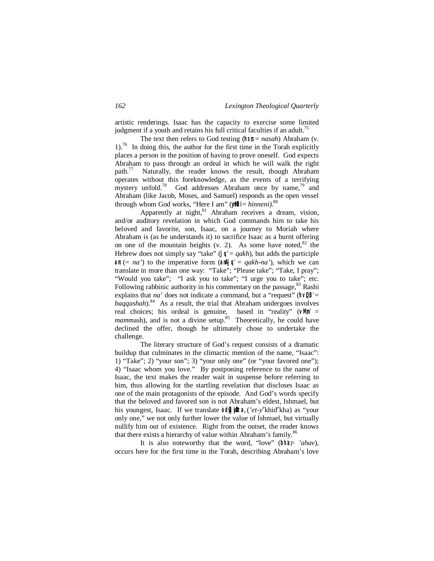artistic renderings. Isaac has the capacity to exercise some limited judgment if a youth and retains his full critical faculties if an adult.<sup>75</sup>

The text then refers to God testing (hsn: = *nasah*) Abraham (v.  $1$ .<sup>76</sup> In doing this, the author for the first time in the Torah explicitly places a person in the position of having to prove oneself. God expects Abraham to pass through an ordeal in which he will walk the right path.<sup>77</sup> Naturally, the reader knows the result, though Abraham operates without this foreknowledge, as the events of a terrifying mystery unfold.<sup>78</sup> God addresses Abraham once by name,<sup>79</sup> and Abraham (like Jacob, Moses, and Samuel) responds as the open vessel through whom God works, "Here I am" (yillfil = *hinneni*).<sup>80</sup>

Apparently at night, $81$  Abraham receives a dream, vision, and/or auditory revelation in which God commands him to take his beloved and favorite, son, Isaac, on a journey to Moriah where Abraham is (as he understands it) to sacrifice Isaac as a burnt offering on one of the mountain heights (v. 2). As some have noted, $82$  the Hebrew does not simply say "take" ( $|q| = q \times h$ ), but adds the participle an:  $(a \cap a')$  to the imperative form  $(a \cap A) \cap a' = q \in A$ . which we can translate in more than one way: "Take"; "Please take"; "Take, I pray"; "Would you take"; "I ask you to take"; "I urge you to take"; etc. Following rabbinic authority in his commentary on the passage,  $83$  Rashi explains that *na*' does not indicate a command, but a "request" ( $\hbar\sqrt{B}$ " = baqqashah).<sup>84</sup> As a result, the trial that Abraham undergoes involves real choices; his ordeal is genuine, based in "reality" (**vM;m'** = mammash), and is not a divine setup.<sup>85</sup> Theoretically, he could have declined the offer, though he ultimately chose to undertake the challenge.

The literary structure of God's request consists of a dramatic buildup that culminates in the climactic mention of the name, "Isaac": 1) "Take"; 2) "your son"; 3) "your only one" (or "your favored one"); 4) "Isaac whom you love." By postponing reference to the name of Isaac, the text makes the reader wait in suspense before referring to him, thus allowing for the startling revelation that discloses Isaac as one of the main protagonists of the episode. And God's words specify that the beloved and favored son is not Abraham's eldest, Ishmael, but his youngest, Isaac. If we translate *odif* in the *('et-y*<sup>e</sup>khid<sup>e</sup>kha) as "your only one," we not only further lower the value of Ishmael, but virtually nullify him out of existence. Right from the outset, the reader knows that there exists a hierarchy of value within Abraham's family.<sup>86</sup>

It is also noteworthy that the word, "love" (bhat *'ahav*), occurs here for the first time in the Torah, describing Abraham's love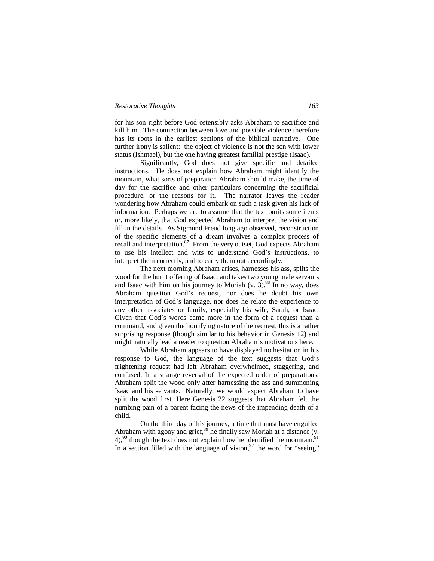#### *Restorative Thoughts 163*

for his son right before God ostensibly asks Abraham to sacrifice and kill him. The connection between love and possible violence therefore has its roots in the earliest sections of the biblical narrative. One further irony is salient: the object of violence is not the son with lower status (Ishmael), but the one having greatest familial prestige (Isaac).

Significantly, God does not give specific and detailed instructions. He does not explain how Abraham might identify the mountain, what sorts of preparation Abraham should make, the time of day for the sacrifice and other particulars concerning the sacrificial procedure, or the reasons for it. The narrator leaves the reader wondering how Abraham could embark on such a task given his lack of information. Perhaps we are to assume that the text omits some items or, more likely, that God expected Abraham to interpret the vision and fill in the details. As Sigmund Freud long ago observed, reconstruction of the specific elements of a dream involves a complex process of recall and interpretation.<sup>87</sup> From the very outset, God expects Abraham to use his intellect and wits to understand God's instructions, to interpret them correctly, and to carry them out accordingly.

The next morning Abraham arises, harnesses his ass, splits the wood for the burnt offering of Isaac, and takes two young male servants and Isaac with him on his journey to Moriah  $(v. 3)$ .<sup>88</sup> In no way, does Abraham question God's request, nor does he doubt his own interpretation of God's language, nor does he relate the experience to any other associates or family, especially his wife, Sarah, or Isaac. Given that God's words came more in the form of a request than a command, and given the horrifying nature of the request, this is a rather surprising response (though similar to his behavior in Genesis 12) and might naturally lead a reader to question Abraham's motivations here.

While Abraham appears to have displayed no hesitation in his response to God, the language of the text suggests that God's frightening request had left Abraham overwhelmed, staggering, and confused. In a strange reversal of the expected order of preparations, Abraham split the wood only after harnessing the ass and summoning Isaac and his servants. Naturally, we would expect Abraham to have split the wood first. Here Genesis 22 suggests that Abraham felt the numbing pain of a parent facing the news of the impending death of a child.

On the third day of his journey, a time that must have engulfed Abraham with agony and grief, $89$  he finally saw Moriah at a distance (v.  $4$ ),<sup>90</sup> though the text does not explain how he identified the mountain.<sup>91</sup> In a section filled with the language of vision,  $92$  the word for "seeing"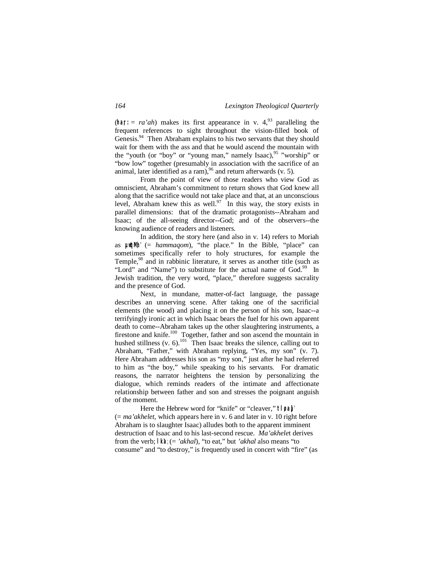(har:  $= ra'ah$ ) makes its first appearance in v. 4,<sup>93</sup> paralleling the frequent references to sight throughout the vision-filled book of Genesis.<sup>94</sup> Then Abraham explains to his two servants that they should wait for them with the ass and that he would ascend the mountain with the "youth (or "boy" or "young man," namely Isaac), $95$  "worship" or "bow low" together (presumably in association with the sacrifice of an animal, later identified as a ram),  $96$  and return afterwards (v. 5).

From the point of view of those readers who view God as omniscient, Abraham's commitment to return shows that God knew all along that the sacrifice would not take place and that, at an unconscious level, Abraham knew this as well.<sup>97</sup> In this way, the story exists in parallel dimensions: that of the dramatic protagonists--Abraham and Isaac; of the all-seeing director--God; and of the observers--the knowing audience of readers and listeners.

In addition, the story here (and also in v. 14) refers to Moriah as **µw\*qM;h'** (= *hammaqom*), "the place." In the Bible, "place" can sometimes specifically refer to holy structures, for example the Temple,<sup>98</sup> and in rabbinic literature, it serves as another title (such as "Lord" and "Name") to substitute for the actual name of God.<sup>99</sup> In Jewish tradition, the very word, "place," therefore suggests sacrality and the presence of God.

Next, in mundane, matter-of-fact language, the passage describes an unnerving scene. After taking one of the sacrificial elements (the wood) and placing it on the person of his son, Isaac--a terrifyingly ironic act in which Isaac bears the fuel for his own apparent death to come--Abraham takes up the other slaughtering instruments, a firestone and knife.<sup>100</sup> Together, father and son ascend the mountain in hushed stillness (v.  $6$ ).<sup>101</sup> Then Isaac breaks the silence, calling out to Abraham, "Father," with Abraham replying, "Yes, my son" (v. 7). Here Abraham addresses his son as "my son," just after he had referred to him as "the boy," while speaking to his servants. For dramatic reasons, the narrator heightens the tension by personalizing the dialogue, which reminds readers of the intimate and affectionate relationship between father and son and stresses the poignant anguish of the moment.

Here the Hebrew word for "knife" or "cleaver," **tl,øa}**µ' (= *ma'akhelet,* which appears here in v. 6 and later in v. 10 right before Abraham is to slaughter Isaac) alludes both to the apparent imminent destruction of Isaac and to his last-second rescue. *Ma'akhele*t derives from the verb; **lk'a**; (= *'akhal*), "to eat," but *'akhal* also means "to consume" and "to destroy," is frequently used in concert with "fire" (as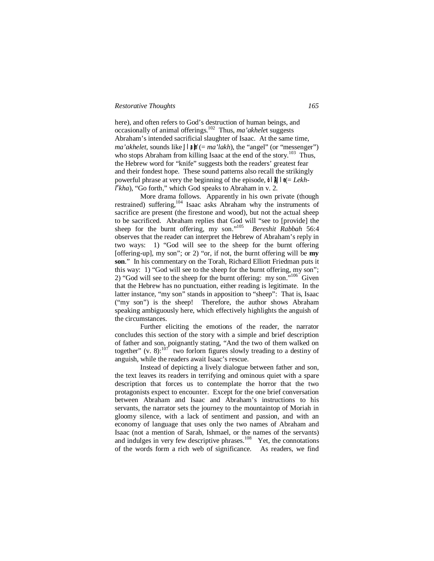## *Restorative Thoughts 165*

here), and often refers to God's destruction of human beings, and occasionally of animal offerings.<sup>102</sup> Thus, *ma'akhele*t suggests Abraham's intended sacrificial slaughter of Isaac. At the same time, *ma'akhelet,* sounds like  $\Box$   $\exists$   $\parallel \exists$   $(= ma'lakh)$ , the "angel" (or "messenger") who stops Abraham from killing Isaac at the end of the story.<sup>103</sup> Thus, the Hebrew word for "knife" suggests both the readers' greatest fear and their fondest hope. These sound patterns also recall the strikingly powerful phrase at very the beginning of the episode,  $\partial |\mathcal{A}| |\mathcal{A}| = Lekh$  $l<sup>e</sup> kha$ ), "Go forth," which God speaks to Abraham in v. 2.

More drama follows. Apparently in his own private (though restrained) suffering,<sup>104</sup> Isaac asks Abraham why the instruments of sacrifice are present (the firestone and wood), but not the actual sheep to be sacrificed. Abraham replies that God will "see to [provide] the sheep for the burnt offering, my son."<sup>105</sup> *Bereshit Rabbah* 56:4 observes that the reader can interpret the Hebrew of Abraham's reply in two ways: 1) "God will see to the sheep for the burnt offering [offering-up], my son"; or 2) "or, if not, the burnt offering will be **my son**." In his commentary on the Torah, Richard Elliott Friedman puts it this way: 1) "God will see to the sheep for the burnt offering, my son"; 2) "God will see to the sheep for the burnt offering: my son." $106$  Given that the Hebrew has no punctuation, either reading is legitimate. In the latter instance, "my son" stands in apposition to "sheep": That is, Isaac ("my son") is the sheep! Therefore, the author shows Abraham speaking ambiguously here, which effectively highlights the anguish of the circumstances.

Further eliciting the emotions of the reader, the narrator concludes this section of the story with a simple and brief description of father and son, poignantly stating, "And the two of them walked on together" (v. 8): $107$  two forlorn figures slowly treading to a destiny of anguish, while the readers await Isaac's rescue.

Instead of depicting a lively dialogue between father and son, the text leaves its readers in terrifying and ominous quiet with a spare description that forces us to contemplate the horror that the two protagonists expect to encounter. Except for the one brief conversation between Abraham and Isaac and Abraham's instructions to his servants, the narrator sets the journey to the mountaintop of Moriah in gloomy silence, with a lack of sentiment and passion, and with an economy of language that uses only the two names of Abraham and Isaac (not a mention of Sarah, Ishmael, or the names of the servants) and indulges in very few descriptive phrases.<sup>108</sup> Yet, the connotations of the words form a rich web of significance. As readers, we find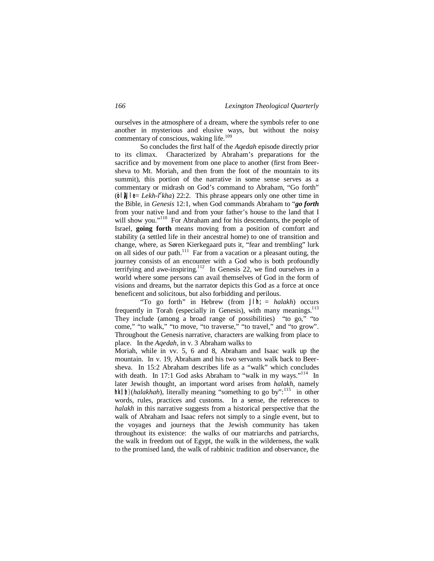ourselves in the atmosphere of a dream, where the symbols refer to one another in mysterious and elusive ways, but without the noisy commentary of conscious, waking life.<sup>109</sup>

So concludes the first half of the *Aqedah* episode directly prior to its climax. Characterized by Abraham's preparations for the sacrifice and by movement from one place to another (first from Beersheva to Mt. Moriah, and then from the foot of the mountain to its summit), this portion of the narrative in some sense serves as a commentary or midrash on God's command to Abraham, "Go forth" ( $\circ$ |  $\parallel$   $\parallel$   $\parallel$   $\leq$  *Lekh-l<sup>e</sup>kha*) 22:2. This phrase appears only one other time in the Bible, in *Genesis* 12:1, when God commands Abraham to "*go forth* from your native land and from your father's house to the land that I will show you."<sup>110</sup> For Abraham and for his descendants, the people of Israel, **going forth** means moving from a position of comfort and stability (a settled life in their ancestral home) to one of transition and change, where, as Søren Kierkegaard puts it, "fear and trembling" lurk on all sides of our path.<sup>111</sup> Far from a vacation or a pleasant outing, the journey consists of an encounter with a God who is both profoundly terrifying and awe-inspiring.<sup>112</sup> In Genesis 22, we find ourselves in a world where some persons can avail themselves of God in the form of visions and dreams, but the narrator depicts this God as a force at once beneficent and solicitous, but also forbidding and perilous.

"To go forth" in Hebrew (from **Jl'h;** = *halakh*) occurs frequently in Torah (especially in Genesis), with many meanings. $113$ They include (among a broad range of possibilities) "to go," "to come," "to walk," "to move, "to traverse," "to travel," and "to grow". Throughout the Genesis narrative, characters are walking from place to place. In the *Aqedah*, in v. 3 Abraham walks to

Moriah, while in vv. 5, 6 and 8, Abraham and Isaac walk up the mountain. In v. 19, Abraham and his two servants walk back to Beersheva. In 15:2 Abraham describes life as a "walk" which concludes with death. In 17:1 God asks Abraham to "walk in my ways."<sup>114</sup> In later Jewish thought, an important word arises from *halakh*, namely hk| h**}** (*halakhah*), literally meaning "something to go by":<sup>115</sup> in other words, rules, practices and customs. In a sense, the references to *halakh* in this narrative suggests from a historical perspective that the walk of Abraham and Isaac refers not simply to a single event, but to the voyages and journeys that the Jewish community has taken throughout its existence: the walks of our matriarchs and patriarchs, the walk in freedom out of Egypt, the walk in the wilderness, the walk to the promised land, the walk of rabbinic tradition and observance, the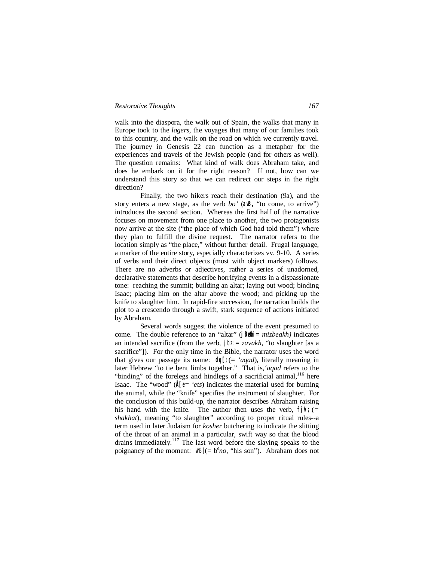#### *Restorative Thoughts 167*

walk into the diaspora, the walk out of Spain, the walks that many in Europe took to the *lagers*, the voyages that many of our families took to this country, and the walk on the road on which we currently travel. The journey in Genesis 22 can function as a metaphor for the experiences and travels of the Jewish people (and for others as well). The question remains: What kind of walk does Abraham take, and does he embark on it for the right reason? If not, how can we understand this story so that we can redirect our steps in the right direction?

Finally, the two hikers reach their destination (9a), and the story enters a new stage, as the verb  $bo'$  ( $\alpha \mathbb{B}$ , "to come, to arrive") introduces the second section. Whereas the first half of the narrative focuses on movement from one place to another, the two protagonists now arrive at the site ("the place of which God had told them") where they plan to fulfill the divine request. The narrator refers to the location simply as "the place," without further detail. Frugal language, a marker of the entire story, especially characterizes vv. 9-10. A series of verbs and their direct objects (most with object markers) follows. There are no adverbs or adjectives, rather a series of unadorned, declarative statements that describe horrifying events in a dispassionate tone: reaching the summit; building an altar; laying out wood; binding Isaac; placing him on the altar above the wood; and picking up the knife to slaughter him. In rapid-fire succession, the narration builds the plot to a crescendo through a swift, stark sequence of actions initiated by Abraham.

Several words suggest the violence of the event presumed to come. The double reference to an "altar" ( $|\text{Befm}| = mizbeakh$ ) indicates an intended sacrifice (from the verb,  $\mathbf{j} \mathbf{b} \mathbf{k} = \mathbf{z} \mathbf{a} \mathbf{v} \mathbf{a} \mathbf{k} \mathbf{h}$ , "to slaughter [as a sacrifice"]). For the only time in the Bible, the narrator uses the word that gives our passage its name: **dq'[;** (= *'aqad*), literally meaning in later Hebrew "to tie bent limbs together." That is,*'aqad* refers to the "binding" of the forelegs and hindlegs of a sacrificial animal,<sup>116</sup> here Isaac. The "wood"  $(\hat{A}|\hat{z} = 'ets)$  indicates the material used for burning the animal, while the "knife" specifies the instrument of slaughter. For the conclusion of this build-up, the narrator describes Abraham raising his hand with the knife. The author then uses the verb,  $\hat{f}$   $\hat{f}$  ( $=$ *shakhat*), meaning "to slaughter" according to proper ritual rules--a term used in later Judaism for *kosher* butchering to indicate the slitting of the throat of an animal in a particular, swift way so that the blood drains immediately.<sup>117</sup> The last word before the slaying speaks to the poignancy of the moment:  $\parallel \parallel B \parallel = b^e n \circ$ , "his son"). Abraham does not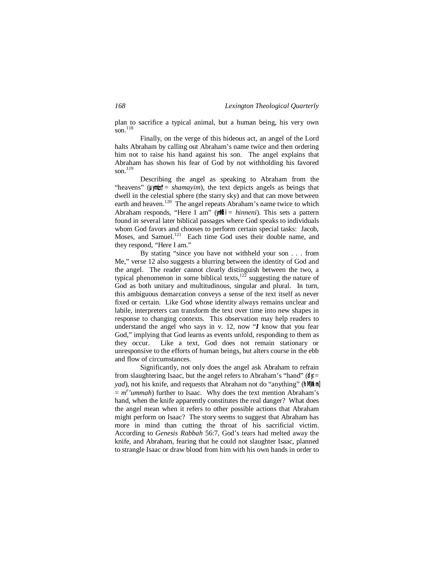plan to sacrifice a typical animal, but a human being, his very own son. $118$ 

Finally, on the verge of this hideous act, an angel of the Lord halts Abraham by calling out Abraham's name twice and then ordering him not to raise his hand against his son. The angel explains that Abraham has shown his fear of God by not withholding his favored son $^{119}$ 

Describing the angel as speaking to Abraham from the "heavens" ( $\mu$ <sup>\*</sup>) = *shamayim*), the text depicts angels as beings that dwell in the celestial sphere (the starry sky) and that can move between earth and heaven.<sup>120</sup> The angel repeats Abraham's name twice to which Abraham responds, "Here I am" (yn hi = *hinneni*). This sets a pattern found in several later biblical passages where God speaks to individuals whom God favors and chooses to perform certain special tasks: Jacob, Moses, and Samuel.<sup>121</sup> Each time God uses their double name, and they respond, "Here I am."

By stating "since you have not withheld your son . . . from Me," verse 12 also suggests a blurring between the identity of God and the angel. The reader cannot clearly distinguish between the two, a typical phenomenon in some biblical texts,  $12\overline{2}$  suggesting the nature of God as both unitary and multitudinous, singular and plural. In turn, this ambiguous demarcation conveys a sense of the text itself as never fixed or certain. Like God whose identity always remains unclear and labile, interpreters can transform the text over time into new shapes in response to changing contexts. This observation may help readers to understand the angel who says in v. 12, now "*I* know that you fear God," implying that God learns as events unfold, responding to them as they occur. Like a text, God does not remain stationary or unresponsive to the efforts of human beings, but alters course in the ebb and flow of circumstances.

Significantly, not only does the angel ask Abraham to refrain from slaughtering Isaac, but the angel refers to Abraham's "hand" (**dy:** = *yad*), not his knife, and requests that Abraham not do "anything" (hMam  $= m^e'$ *ummah*) further to Isaac. Why does the text mention Abraham's hand, when the knife apparently constitutes the real danger? What does the angel mean when it refers to other possible actions that Abraham might perform on Isaac? The story seems to suggest that Abraham has more in mind than cutting the throat of his sacrificial victim. According to *Genesis Rabbah* 56:7, God's tears had melted away the knife, and Abraham, fearing that he could not slaughter Isaac, planned to strangle Isaac or draw blood from him with his own hands in order to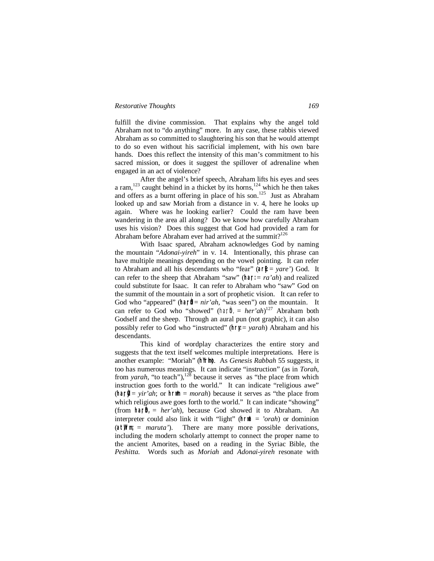#### *Restorative Thoughts 169*

fulfill the divine commission. That explains why the angel told Abraham not to "do anything" more. In any case, these rabbis viewed Abraham as so committed to slaughtering his son that he would attempt to do so even without his sacrificial implement, with his own bare hands. Does this reflect the intensity of this man's commitment to his sacred mission, or does it suggest the spillover of adrenaline when engaged in an act of violence?

After the angel's brief speech, Abraham lifts his eyes and sees a ram,<sup>123</sup> caught behind in a thicket by its horns,<sup>124</sup> which he then takes and offers as a burnt offering in place of his son.<sup>125</sup> Just as Abraham looked up and saw Moriah from a distance in v. 4, here he looks up again. Where was he looking earlier? Could the ram have been wandering in the area all along? Do we know how carefully Abraham uses his vision? Does this suggest that God had provided a ram for Abraham before Abraham ever had arrived at the summit?<sup>126</sup>

With Isaac spared, Abraham acknowledges God by naming the mountain "*Adonai-yireh*" in v. 14. Intentionally, this phrase can have multiple meanings depending on the vowel pointing. It can refer to Abraham and all his descendants who "fear" ( $\partial f(x) = \partial f$ ) God. It can refer to the sheep that Abraham "saw" ( $\hat{n} = ra'ah$ ) and realized could substitute for Isaac. It can refer to Abraham who "saw" God on the summit of the mountain in a sort of prophetic vision. It can refer to God who "appeared" (har $\hat{a}$  = *nir'ah*, "was seen") on the mountain. It can refer to God who "showed" (har $\hat{\mathbf{h}}_n = her'ah$ <sup>127</sup> Abraham both Godself and the sheep. Through an aural pun (not graphic), it can also possibly refer to God who "instructed" (**hr:y:** = *yarah*) Abraham and his descendants.

This kind of wordplay characterizes the entire story and suggests that the text itself welcomes multiple interpretations. Here is another example: "Moriah" (**hY:rImo**). As *Genesis Rabbah* 55 suggests, it too has numerous meanings. It can indicate "instruction" (as in *Torah*, from *yarah*, "to teach"),<sup>128</sup> because it serves as "the place from which instruction goes forth to the world." It can indicate "religious awe"  $(\text{har}) = \text{vir}\text{'ah}$ ; or  $h \cap \mathbb{M} = \text{morah}$ ) because it serves as "the place from which religious awe goes forth to the world." It can indicate "showing" (from **ha;rÒh,** = *her'ah*), because God showed it to Abraham. An interpreter could also link it with "light" ( $\ln \hat{a} = 'orah$ ) or dominion (at<sup>\\\thrmumarrow = *maruta'*). There are many more possible derivations,</sup> including the modern scholarly attempt to connect the proper name to the ancient Amorites, based on a reading in the Syriac Bible, the *Peshitta*. Words such as *Moriah* and *Adonai-yireh* resonate with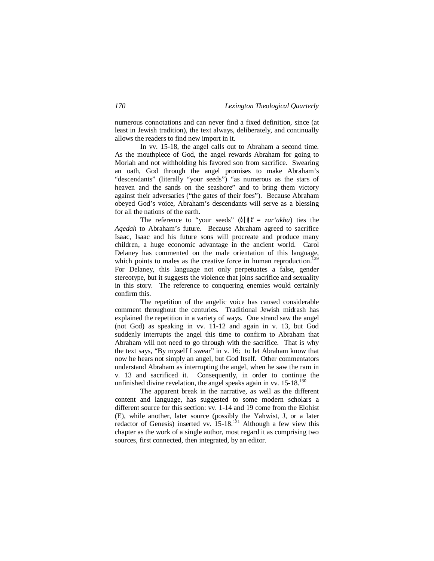numerous connotations and can never find a fixed definition, since (at least in Jewish tradition), the text always, deliberately, and continually allows the readers to find new import in it.

In vv. 15-18, the angel calls out to Abraham a second time. As the mouthpiece of God, the angel rewards Abraham for going to Moriah and not withholding his favored son from sacrifice. Swearing an oath, God through the angel promises to make Abraham's "descendants" (literally "your seeds") "as numerous as the stars of heaven and the sands on the seashore" and to bring them victory against their adversaries ("the gates of their foes"). Because Abraham obeyed God's voice, Abraham's descendants will serve as a blessing for all the nations of the earth.

The reference to "your seeds" ( $\circ$ [ $\uparrow$ <sup>"</sup> $\uparrow$  = *zar'akha*) ties the *Aqedah* to Abraham's future. Because Abraham agreed to sacrifice Isaac, Isaac and his future sons will procreate and produce many children, a huge economic advantage in the ancient world. Carol Delaney has commented on the male orientation of this language, which points to males as the creative force in human reproduction.<sup>129</sup> For Delaney, this language not only perpetuates a false, gender stereotype, but it suggests the violence that joins sacrifice and sexuality in this story. The reference to conquering enemies would certainly confirm this.

The repetition of the angelic voice has caused considerable comment throughout the centuries. Traditional Jewish midrash has explained the repetition in a variety of ways. One strand saw the angel (not God) as speaking in vv. 11-12 and again in v. 13, but God suddenly interrupts the angel this time to confirm to Abraham that Abraham will not need to go through with the sacrifice. That is why the text says, "By myself I swear" in v. 16: to let Abraham know that now he hears not simply an angel, but God Itself. Other commentators understand Abraham as interrupting the angel, when he saw the ram in v. 13 and sacrificed it. Consequently, in order to continue the unfinished divine revelation, the angel speaks again in vv.  $15{\text -}18^{130}$ 

The apparent break in the narrative, as well as the different content and language, has suggested to some modern scholars a different source for this section: vv. 1-14 and 19 come from the Elohist (E), while another, later source (possibly the Yahwist, J, or a later redactor of Genesis) inserted vv.  $15{\text -}18$ .<sup>131</sup> Although a few view this chapter as the work of a single author, most regard it as comprising two sources, first connected, then integrated, by an editor.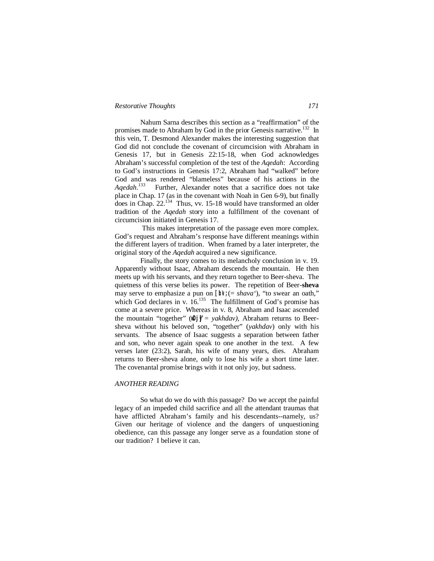#### *Restorative Thoughts 171*

Nahum Sarna describes this section as a "reaffirmation" of the promises made to Abraham by God in the prior Genesis narrative.<sup>132</sup> In this vein, T. Desmond Alexander makes the interesting suggestion that God did not conclude the covenant of circumcision with Abraham in Genesis 17, but in Genesis 22:15-18, when God acknowledges Abraham's successful completion of the test of the *Aqedah*: According to God's instructions in Genesis 17:2, Abraham had "walked" before God and was rendered "blameless" because of his actions in the *Aqedah*. 133 Further, Alexander notes that a sacrifice does not take place in Chap. 17 (as in the covenant with Noah in Gen 6-9), but finally does in Chap.  $22^{134}$  Thus, vv. 15-18 would have transformed an older tradition of the *Aqedah* story into a fulfillment of the covenant of circumcision initiated in Genesis 17.

This makes interpretation of the passage even more complex. God's request and Abraham's response have different meanings within the different layers of tradition. When framed by a later interpreter, the original story of the *Aqedah* acquired a new significance.

Finally, the story comes to its melancholy conclusion in v. 19. Apparently without Isaac, Abraham descends the mountain. He then meets up with his servants, and they return together to Beer-sheva. The quietness of this verse belies its power. The repetition of Beer-**sheva** may serve to emphasize a pun on  $\left[\frac{b}{x}\right]$  (= *shava'*), "to swear an oath," which God declares in v.  $16^{135}$  The fulfillment of God's promise has come at a severe price. Whereas in v. 8, Abraham and Isaac ascended the mountain "together" (**wD:j]y"** = *yakhdav)*, Abraham returns to Beersheva without his beloved son, "together" (*yakhdav*) only with his servants. The absence of Isaac suggests a separation between father and son, who never again speak to one another in the text. A few verses later (23:2), Sarah, his wife of many years, dies. Abraham returns to Beer-sheva alone, only to lose his wife a short time later. The covenantal promise brings with it not only joy, but sadness.

#### *ANOTHER READING*

So what do we do with this passage? Do we accept the painful legacy of an impeded child sacrifice and all the attendant traumas that have afflicted Abraham's family and his descendants--namely, us? Given our heritage of violence and the dangers of unquestioning obedience, can this passage any longer serve as a foundation stone of our tradition? I believe it can.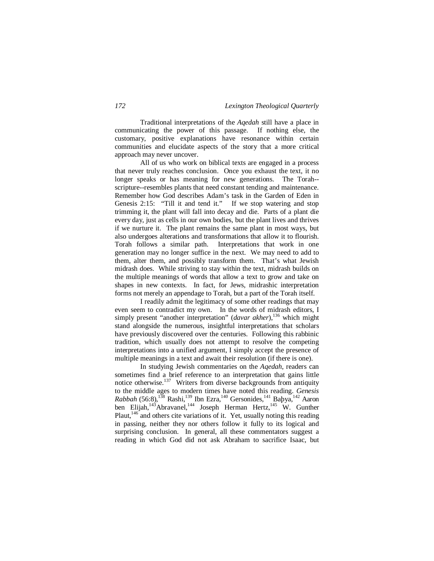Traditional interpretations of the *Aqedah* still have a place in communicating the power of this passage. If nothing else, the customary, positive explanations have resonance within certain communities and elucidate aspects of the story that a more critical approach may never uncover.

All of us who work on biblical texts are engaged in a process that never truly reaches conclusion. Once you exhaust the text, it no longer speaks or has meaning for new generations. The Torah- scripture--resembles plants that need constant tending and maintenance. Remember how God describes Adam's task in the Garden of Eden in Genesis 2:15: "Till it and tend it." If we stop watering and stop trimming it, the plant will fall into decay and die. Parts of a plant die every day, just as cells in our own bodies, but the plant lives and thrives if we nurture it. The plant remains the same plant in most ways, but also undergoes alterations and transformations that allow it to flourish. Torah follows a similar path. Interpretations that work in one generation may no longer suffice in the next. We may need to add to them, alter them, and possibly transform them. That's what Jewish midrash does. While striving to stay within the text, midrash builds on the multiple meanings of words that allow a text to grow and take on shapes in new contexts. In fact, for Jews, midrashic interpretation forms not merely an appendage to Torah, but a part of the Torah itself.

I readily admit the legitimacy of some other readings that may even seem to contradict my own. In the words of midrash editors, I simply present "another interpretation" (*davar akher*),<sup>136</sup> which might stand alongside the numerous, insightful interpretations that scholars have previously discovered over the centuries. Following this rabbinic tradition, which usually does not attempt to resolve the competing interpretations into a unified argument, I simply accept the presence of multiple meanings in a text and await their resolution (if there is one).

In studying Jewish commentaries on the *Aqedah*, readers can sometimes find a brief reference to an interpretation that gains little notice otherwise.<sup>137</sup> Writers from diverse backgrounds from antiquity to the middle ages to modern times have noted this reading. *Genesis Rabbah* (56:8),<sup>138</sup> Rashi,<sup>139</sup> Ibn Ezra,<sup>140</sup> Gersonides,<sup>141</sup> Baþya,<sup>142</sup> Aaron ben Elijah,<sup>143</sup>Abravanel,<sup>144</sup> Joseph Herman Hertz, <sup>145</sup> W. Gunther Plaut, $146$  and others cite variations of it. Yet, usually noting this reading in passing, neither they nor others follow it fully to its logical and surprising conclusion. In general, all these commentators suggest a reading in which God did not ask Abraham to sacrifice Isaac, but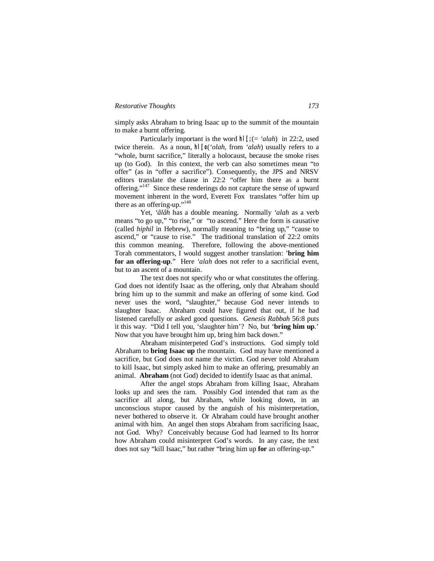simply asks Abraham to bring Isaac up to the summit of the mountain to make a burnt offering.

Particularly important is the word **hl;[;** (= *'alah*) in 22:2, used twice therein. As a noun, **hl;[o** (*'olah*, from *'alah*) usually refers to a "whole, burnt sacrifice," literally a holocaust, because the smoke rises up (to God). In this context, the verb can also sometimes mean "to offer" (as in "offer a sacrifice"). Consequently, the JPS and NRSV editors translate the clause in 22:2 "offer him there as a burnt offering."<sup>147</sup> Since these renderings do not capture the sense of upward movement inherent in the word, Everett Fox translates "offer him up there as an offering-up."<sup>148</sup>

Yet, *'âlâh* has a double meaning. Normally *'alah* as a verb means "to go up," "to rise," or "to ascend." Here the form is causative (called *hiphil* in Hebrew), normally meaning to "bring up," "cause to ascend," or "cause to rise." The traditional translation of 22:2 omits this common meaning. Therefore, following the above-mentioned Torah commentators, I would suggest another translation: '**bring him for an offering-up**." Here *'alah* does not refer to a sacrificial event, but to an ascent of a mountain.

The text does not specify who or what constitutes the offering. God does not identify Isaac as the offering, only that Abraham should bring him up to the summit and make an offering of some kind. God never uses the word, "slaughter," because God never intends to slaughter Isaac. Abraham could have figured that out, if he had listened carefully or asked good questions. *Genesis Rabbah* 56:8 puts it this way. "Did I tell you, 'slaughter him'? No, but '**bring him up**.' Now that you have brought him up, bring him back down."

Abraham misinterpeted God's instructions. God simply told Abraham to **bring Isaac up** the mountain. God may have mentioned a sacrifice, but God does not name the victim. God never told Abraham to kill Isaac, but simply asked him to make an offering, presumably an animal. **Abraham** (not God) decided to identify Isaac as that animal.

After the angel stops Abraham from killing Isaac, Abraham looks up and sees the ram. Possibly God intended that ram as the sacrifice all along, but Abraham, while looking down, in an unconscious stupor caused by the anguish of his misinterpretation, never bothered to observe it. Or Abraham could have brought another animal with him. An angel then stops Abraham from sacrificing Isaac, not God. Why? Conceivably because God had learned to Its horror how Abraham could misinterpret God's words. In any case, the text does not say "kill Isaac," but rather "bring him up **for** an offering-up."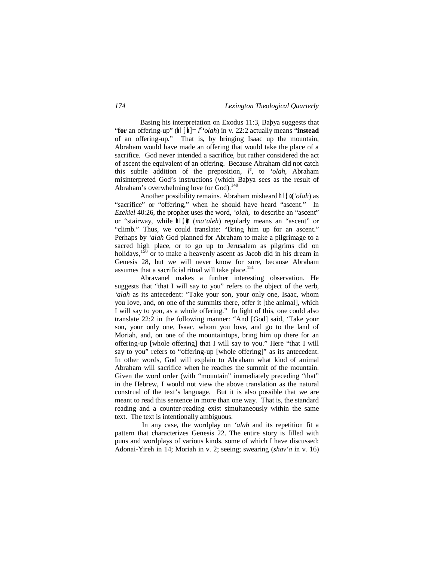Basing his interpretation on Exodus 11:3, Baþya suggests that "**for** an offering-up" ( $\ln |\mathbf{u}| = l^e$  '*olah*) in v. 22:2 actually means "**instead**" of an offering-up." That is, by bringing Isaac up the mountain, Abraham would have made an offering that would take the place of a sacrifice. God never intended a sacrifice, but rather considered the act of ascent the equivalent of an offering. Because Abraham did not catch this subtle addition of the preposition,  $l^e$ , to *'olah*, Abraham misinterpreted God's instructions (which Baþya sees as the result of Abraham's overwhelming love for God). $149$ 

Another possibility remains. Abraham misheard **hl;[o (***'olah*) as "sacrifice" or "offering," when he should have heard "ascent." In *Ezekiel* 40:26, the prophet uses the word, *'olah*, to describe an "ascent" or "stairway, while **hl,[}m'** (*ma'aleh*) regularly means an "ascent" or "climb." Thus, we could translate: "Bring him up for an ascent." Perhaps by *'alah* God planned for Abraham to make a pilgrimage to a sacred high place, or to go up to Jerusalem as pilgrims did on holidays,  $150$  or to make a heavenly ascent as Jacob did in his dream in Genesis 28, but we will never know for sure, because Abraham assumes that a sacrificial ritual will take place.<sup>151</sup>

Abravanel makes a further interesting observation. He suggests that "that I will say to you" refers to the object of the verb, *'alah* as its antecedent: "Take your son, your only one, Isaac, whom you love, and, on one of the summits there, offer it [the animal], which I will say to you, as a whole offering." In light of this, one could also translate 22:2 in the following manner: "And [God] said, 'Take your son, your only one, Isaac, whom you love, and go to the land of Moriah, and, on one of the mountaintops, bring him up there for an offering-up [whole offering] that I will say to you." Here "that I will say to you" refers to "offering-up [whole offering]" as its antecedent. In other words, God will explain to Abraham what kind of animal Abraham will sacrifice when he reaches the summit of the mountain. Given the word order (with "mountain" immediately preceding "that" in the Hebrew, I would not view the above translation as the natural construal of the text's language. But it is also possible that we are meant to read this sentence in more than one way. That is, the standard reading and a counter-reading exist simultaneously within the same text. The text is intentionally ambiguous.

In any case, the wordplay on *'alah* and its repetition fit a pattern that characterizes Genesis 22. The entire story is filled with puns and wordplays of various kinds, some of which I have discussed: Adonai-Yireh in 14; Moriah in v. 2; seeing; swearing (*shav'a* in v. 16)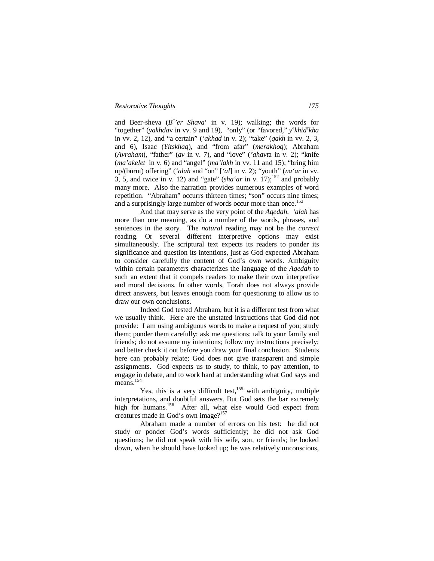# *Restorative Thoughts 175*

and Beer-sheva (B<sup>e</sup>'er Shava' in v. 19); walking; the words for "together" (*yakhdav* in vv. 9 and 19), "only" (or "favored," *y*<sup>e</sup>khid<sup>e</sup>kha in vv. 2, 12), and "a certain" (*'akhad* in v. 2); "take" (*qakh* in vv. 2, 3, and 6)*,* Isaac (*Yitskhaq*), and "from afar" (*merakhoq*); Abraham (*Avraham*), "father" (*av* in v. 7), and "love" (*'ahavt*a in v. 2); "knife (*ma'akelet* in v. 6) and "angel" (*ma'lakh* in vv. 11 and 15); "bring him up/(burnt) offering" (*'alah* and "on" [*'al*] in v. 2); "youth" (*na'ar* in vv. 3, 5, and twice in v. 12) and "gate" (*sha'ar* in v. 17);<sup>152</sup> and probably many more. Also the narration provides numerous examples of word repetition. "Abraham" occurrs thirteen times; "son" occurs nine times; and a surprisingly large number of words occur more than once.<sup>153</sup>

And that may serve as the very point of the *Aqedah*. *'alah* has more than one meaning, as do a number of the words, phrases, and sentences in the story. The *natural* reading may not be the *correct* reading. Or several different interpretive options may exist simultaneously. The scriptural text expects its readers to ponder its significance and question its intentions, just as God expected Abraham to consider carefully the content of God's own words. Ambiguity within certain parameters characterizes the language of the *Aqedah* to such an extent that it compels readers to make their own interpretive and moral decisions. In other words, Torah does not always provide direct answers, but leaves enough room for questioning to allow us to draw our own conclusions.

Indeed God tested Abraham, but it is a different test from what we usually think. Here are the unstated instructions that God did not provide: I am using ambiguous words to make a request of you; study them; ponder them carefully; ask me questions; talk to your family and friends; do not assume my intentions; follow my instructions precisely; and better check it out before you draw your final conclusion. Students here can probably relate; God does not give transparent and simple assignments. God expects us to study, to think, to pay attention, to engage in debate, and to work hard at understanding what God says and means.<sup>154</sup>

Yes, this is a very difficult test,  $155$  with ambiguity, multiple interpretations, and doubtful answers. But God sets the bar extremely high for humans.<sup>156</sup> After all, what else would God expect from creatures made in God's own image?<sup>157</sup>

Abraham made a number of errors on his test: he did not study or ponder God's words sufficiently; he did not ask God questions; he did not speak with his wife, son, or friends; he looked down, when he should have looked up; he was relatively unconscious,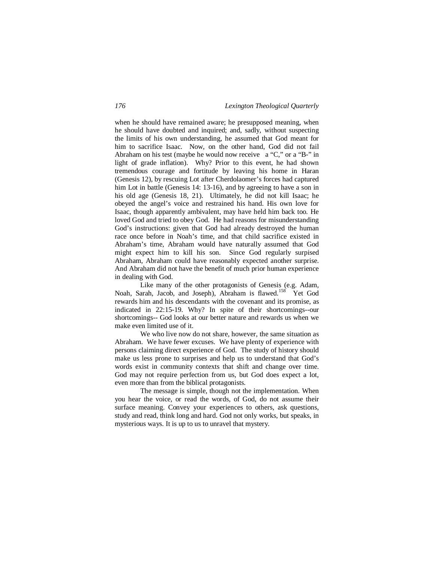when he should have remained aware; he presupposed meaning, when he should have doubted and inquired; and, sadly, without suspecting the limits of his own understanding, he assumed that God meant for him to sacrifice Isaac. Now, on the other hand, God did not fail Abraham on his test (maybe he would now receive a "C," or a "B-" in light of grade inflation). Why? Prior to this event, he had shown tremendous courage and fortitude by leaving his home in Haran (Genesis 12), by rescuing Lot after Cherdolaomer's forces had captured him Lot in battle (Genesis 14: 13-16), and by agreeing to have a son in his old age (Genesis 18, 21). Ultimately, he did not kill Isaac; he obeyed the angel's voice and restrained his hand. His own love for Isaac, though apparently ambivalent, may have held him back too. He loved God and tried to obey God. He had reasons for misunderstanding God's instructions: given that God had already destroyed the human race once before in Noah's time, and that child sacrifice existed in Abraham's time, Abraham would have naturally assumed that God might expect him to kill his son. Since God regularly surpised Abraham, Abraham could have reasonably expected another surprise. And Abraham did not have the benefit of much prior human experience in dealing with God.

Like many of the other protagonists of Genesis (e.g. Adam, Noah, Sarah, Jacob, and Joseph), Abraham is flawed.<sup>158</sup> Yet God rewards him and his descendants with the covenant and its promise, as indicated in 22:15-19. Why? In spite of their shortcomings--our shortcomings-- God looks at our better nature and rewards us when we make even limited use of it.

We who live now do not share, however, the same situation as Abraham. We have fewer excuses. We have plenty of experience with persons claiming direct experience of God. The study of history should make us less prone to surprises and help us to understand that God's words exist in community contexts that shift and change over time. God may not require perfection from us, but God does expect a lot, even more than from the biblical protagonists.

The message is simple, though not the implementation. When you hear the voice, or read the words, of God, do not assume their surface meaning. Convey your experiences to others, ask questions, study and read, think long and hard. God not only works, but speaks, in mysterious ways. It is up to us to unravel that mystery.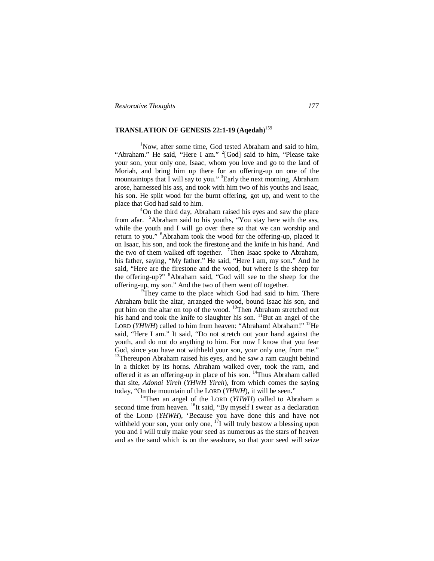# **TRANSLATION OF GENESIS 22:1-19 (Aqedah**) 159

<sup>1</sup>Now, after some time, God tested Abraham and said to him, "Abraham." He said, "Here I am." <sup>2</sup>[God] said to him, "Please take your son, your only one, Isaac, whom you love and go to the land of Moriah, and bring him up there for an offering-up on one of the mountaintops that I will say to you." <sup>3</sup>Early the next morning, Abraham arose, harnessed his ass, and took with him two of his youths and Isaac, his son. He split wood for the burnt offering, got up, and went to the place that God had said to him.

<sup>4</sup>On the third day, Abraham raised his eyes and saw the place from afar. <sup>5</sup>Abraham said to his youths, "You stay here with the ass, while the youth and I will go over there so that we can worship and return to you." <sup>6</sup>Abraham took the wood for the offering-up, placed it on Isaac, his son, and took the firestone and the knife in his hand. And the two of them walked off together. <sup>7</sup>Then Isaac spoke to Abraham, his father, saying, "My father." He said, "Here I am, my son." And he said, "Here are the firestone and the wood, but where is the sheep for the offering-up?" <sup>8</sup>Abraham said, "God will see to the sheep for the offering-up, my son." And the two of them went off together.

<sup>9</sup>They came to the place which God had said to him. There Abraham built the altar, arranged the wood, bound Isaac his son, and put him on the altar on top of the wood. <sup>10</sup>Then Abraham stretched out his hand and took the knife to slaughter his son. <sup>11</sup>But an angel of the LORD (*YHWH*) called to him from heaven: "Abraham! Abraham!" <sup>12</sup>He said, "Here I am." It said, "Do not stretch out your hand against the youth, and do not do anything to him. For now I know that you fear God, since you have not withheld your son, your only one, from me." <sup>13</sup>Thereupon Abraham raised his eyes, and he saw a ram caught behind in a thicket by its horns. Abraham walked over, took the ram, and offered it as an offering-up in place of his son. <sup>14</sup>Thus Abraham called that site, *Adonai Yireh* (*YHWH Yireh*), from which comes the saying today, "On the mountain of the LORD (*YHWH*), it will be seen."

<sup>15</sup>Then an angel of the LORD (*YHWH*) called to Abraham a second time from heaven. <sup>16</sup>It said, "By myself I swear as a declaration of the LORD (*YHWH*), 'Because you have done this and have not withheld your son, your only one,  $^{17}I$  will truly bestow a blessing upon you and I will truly make your seed as numerous as the stars of heaven and as the sand which is on the seashore, so that your seed will seize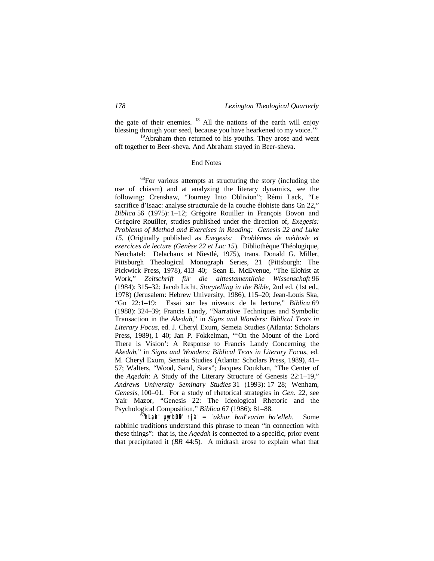the gate of their enemies. <sup>18</sup> All the nations of the earth will enjoy blessing through your seed, because you have hearkened to my voice."

<sup>19</sup>Abraham then returned to his youths. They arose and went off together to Beer-sheva. And Abraham stayed in Beer-sheva.

### End Notes

<sup>68</sup>For various attempts at structuring the story (including the use of chiasm) and at analyzing the literary dynamics, see the following: Crenshaw, "Journey Into Oblivion"; Rémi Lack, "Le sacrifice d'Isaac: analyse structurale de la couche élohiste dans Gn 22," *Biblica* 56 (1975): 1–12; Grégoire Rouiller in François Bovon and Grégoire Rouiller, studies published under the direction of, *Exegesis: Problems of Method and Exercises in Reading: Genesis 22 and Luke 15*, (Originally published as *Exegesis: Problème*s *de méthode et exercices de lecture (Genèse 22 et Luc 15*). Bibliothèque Théologique, Neuchatel: Delachaux et Niestlé, 1975), trans. Donald G. Miller, Pittsburgh Theological Monograph Series, 21 (Pittsburgh: The Pickwick Press, 1978), 413–40; Sean E. McEvenue, "The Elohist at Work," *Zeitschrift für die alttestamentliche Wissenschaft* 96 (1984): 315–32; Jacob Licht, *Storytelling in the Bible*, 2nd ed. (1st ed., 1978) (Jerusalem: Hebrew University, 1986), 115–20; Jean-Louis Ska, "Gn 22:1–19: Essai sur les niveaux de la lecture," *Biblica* 69 (1988): 324–39; Francis Landy, "Narrative Techniques and Symbolic Transaction in the *Akedah*," in *Signs and Wonders: Biblical Texts in Literary Focus*, ed. J. Cheryl Exum, Semeia Studies (Atlanta: Scholars Press, 1989), 1–40; Jan P. Fokkelman, "'On the Mount of the Lord There is Vision': A Response to Francis Landy Concerning the *Akedah*," in *Signs and Wonders: Biblical Texts in Literary Focus*, ed. M. Cheryl Exum, Semeia Studies (Atlanta: Scholars Press, 1989), 41– 57; Walters, "Wood, Sand, Stars"; Jacques Doukhan, "The Center of the *Aqedah*: A Study of the Literary Structure of Genesis 22:1–19," *Andrews University Seminary Studies* 31 (1993): 17–28; Wenham, *Genesis*, 100–01. For a study of rhetorical strategies in *Gen*. 22, see Yair Mazor, "Genesis 22: The Ideological Rhetoric and the Psychological Composition," *Biblica* 67 (1986): 81–88.

<sup>69</sup>**hL,aeh' µyrIb;DÒh' rj'a'** = *'akhar had<sup>e</sup> varim ha'elleh*. Some rabbinic traditions understand this phrase to mean "in connection with these things": that is, the *Aqedah* is connected to a specific, prior event that precipitated it (*BR* 44:5). A midrash arose to explain what that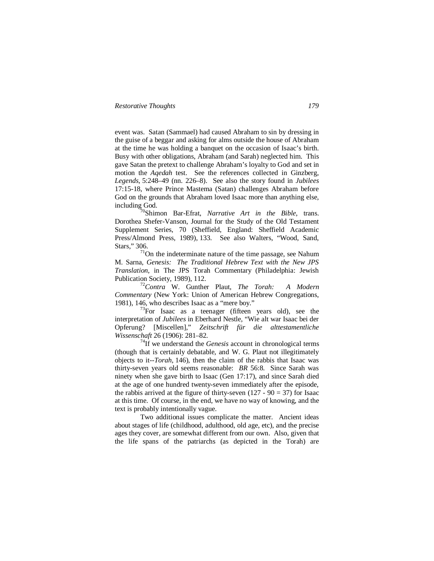event was. Satan (Sammael) had caused Abraham to sin by dressing in the guise of a beggar and asking for alms outside the house of Abraham at the time he was holding a banquet on the occasion of Isaac's birth. Busy with other obligations, Abraham (and Sarah) neglected him. This gave Satan the pretext to challenge Abraham's loyalty to God and set in motion the *Aqedah* test. See the references collected in Ginzberg, *Legends*, 5:248–49 (nn. 226–8). See also the story found in *Jubilees* 17:15-18, where Prince Mastema (Satan) challenges Abraham before God on the grounds that Abraham loved Isaac more than anything else, including God.

<sup>70</sup>Shimon Bar-Efrat, *Narrative Art in the Bible*, trans. Dorothea Shefer-Vanson, Journal for the Study of the Old Testament Supplement Series, 70 (Sheffield, England: Sheffield Academic Press/Almond Press, 1989), 133. See also Walters, "Wood, Sand, Stars," 306.

 $71$ On the indeterminate nature of the time passage, see Nahum M. Sarna, *Genesis: The Traditional Hebrew Text with the New JPS Translation*, in The JPS Torah Commentary (Philadelphia: Jewish Publication Society, 1989), 112.

<sup>72</sup>*Contra* W. Gunther Plaut, *The Torah: A Modern Commentary* (New York: Union of American Hebrew Congregations, 1981), 146, who describes Isaac as a "mere boy."

 $73$ For Isaac as a teenager (fifteen years old), see the interpretation of *Jubilees* in Eberhard Nestle, "Wie alt war Isaac bei der Opferung? [Miscellen]," *Zeitschrift für die alttestamentliche Wissenschaft* 26 (1906): 281–82.

<sup>74</sup>If we understand the *Genesis* account in chronological terms (though that is certainly debatable, and W. G. Plaut not illegitimately objects to it--*Torah*, 146), then the claim of the rabbis that Isaac was thirty-seven years old seems reasonable: *BR* 56:8. Since Sarah was ninety when she gave birth to Isaac (Gen 17:17), and since Sarah died at the age of one hundred twenty-seven immediately after the episode, the rabbis arrived at the figure of thirty-seven  $(127 - 90 = 37)$  for Isaac at this time. Of course, in the end, we have no way of knowing, and the text is probably intentionally vague.

Two additional issues complicate the matter. Ancient ideas about stages of life (childhood, adulthood, old age, etc), and the precise ages they cover, are somewhat different from our own. Also, given that the life spans of the patriarchs (as depicted in the Torah) are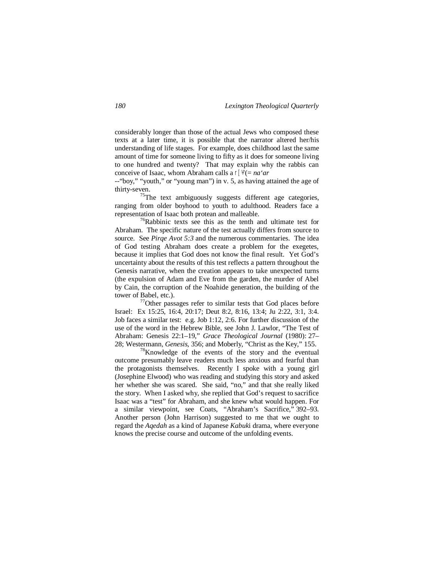considerably longer than those of the actual Jews who composed these texts at a later time, it is possible that the narrator altered her/his understanding of life stages. For example, does childhood last the same amount of time for someone living to fifty as it does for someone living to one hundred and twenty? That may explain why the rabbis can conceive of Isaac, whom Abraham calls a r['÷" (= *na'ar* 

--"boy," "youth," or "young man") in v. 5, as having attained the age of thirty-seven.

 $75$ The text ambiguously suggests different age categories, ranging from older boyhood to youth to adulthood. Readers face a representation of Isaac both protean and malleable.

 $76$ Rabbinic texts see this as the tenth and ultimate test for Abraham. The specific nature of the test actually differs from source to source. See *Pirqe Avot 5:3* and the numerous commentaries. The idea of God testing Abraham does create a problem for the exegetes, because it implies that God does not know the final result. Yet God's uncertainty about the results of this test reflects a pattern throughout the Genesis narrative, when the creation appears to take unexpected turns (the expulsion of Adam and Eve from the garden, the murder of Abel by Cain, the corruption of the Noahide generation, the building of the tower of Babel, etc.).

 $77$ Other passages refer to similar tests that God places before Israel: Ex 15:25, 16:4, 20:17; Deut 8:2, 8:16, 13:4; Ju 2:22, 3:1, 3:4. Job faces a similar test: e.g. Job 1:12, 2:6. For further discussion of the use of the word in the Hebrew Bible, see John J. Lawlor, "The Test of Abraham: Genesis 22:1–19," *Grace Theological Journal* (1980): 27– 28; Westermann, *Genesis*, 356; and Moberly, "Christ as the Key," 155.

<sup>78</sup>Knowledge of the events of the story and the eventual outcome presumably leave readers much less anxious and fearful than the protagonists themselves. Recently I spoke with a young girl (Josephine Elwood) who was reading and studying this story and asked her whether she was scared. She said, "no," and that she really liked the story. When I asked why, she replied that God's request to sacrifice Isaac was a "test" for Abraham, and she knew what would happen. For a similar viewpoint, see Coats, "Abraham's Sacrifice," 392–93. Another person (John Harrison) suggested to me that we ought to regard the *Aqedah* as a kind of Japanese *Kabuk*i drama, where everyone knows the precise course and outcome of the unfolding events.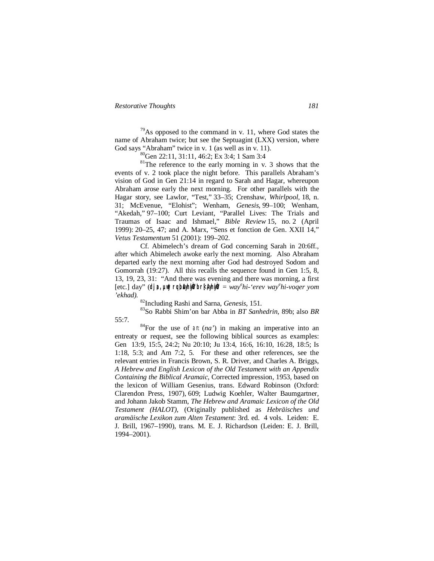$79$ As opposed to the command in v. 11, where God states the name of Abraham twice; but see the Septuagint (LXX) version, where God says "Abraham" twice in v. 1 (as well as in v. 11).

<sup>80</sup>Gen 22:11, 31:11, 46:2; Ex 3:4; 1 Sam 3:4

 $81$ <sup>81</sup>The reference to the early morning in v. 3 shows that the events of v. 2 took place the night before. This parallels Abraham's vision of God in Gen 21:14 in regard to Sarah and Hagar, whereupon Abraham arose early the next morning. For other parallels with the Hagar story, see Lawlor, "Test," 33–35; Crenshaw, *Whirlpool*, 18, n. 31; McEvenue, "Elohist"; Wenham, *Genesis*, 99–100; Wenham, "Akedah," 97–100; Curt Leviant, "Parallel Lives: The Trials and Traumas of Isaac and Ishmael," *Bible Review* 15, no. 2 (April 1999): 20–25, 47; and A. Marx, "Sens et fonction de Gen. XXII 14," *Vetus Testamentum* 51 (2001): 199–202.

Cf. Abimelech's dream of God concerning Sarah in 20:6ff., after which Abimelech awoke early the next morning. Also Abraham departed early the next morning after God had destroyed Sodom and Gomorrah (19:27). All this recalls the sequence found in Gen 1:5, 8, 13, 19, 23, 31: "And there was evening and there was morning, a first  $[etc.]$  day" (dj a,  $\upmu$ wj rqbAyhijÒ br $\{$ AyhijÒ" = way<sup>e</sup>hi-'erev way<sup>e</sup>hi-voqer yom *'ekhad).*

<sup>82</sup>Including Rashi and Sarna, *Genesis*, 151.

<sup>83</sup>So Rabbi Shim'on bar Abba in *BT Sanhedrin*, 89b; also *BR* 55:7.

 $84$ For the use of ant  $(na')$  in making an imperative into an entreaty or request, see the following biblical sources as examples: Gen 13:9, 15:5, 24:2; Nu 20:10; Ju 13:4, 16:6, 16:10, 16:28*,* 18:5; Is 1:18, 5:3; and Am 7:2, 5. For these and other references, see the relevant entries in Francis Brown, S. R. Driver, and Charles A. Briggs, *A Hebrew and English Lexicon of the Old Testament with an Appendix Containing the Biblical Aramaic*, Corrected impression, 1953, based on the lexicon of William Gesenius, trans. Edward Robinson (Oxford: Clarendon Press, 1907), 609; Ludwig Koehler, Walter Baumgartner, and Johann Jakob Stamm, *The Hebrew and Aramaic Lexicon of the Old Testament (HALOT)*, (Originally published as *Hebräisches und aramäische Lexikon zum Alten Testament*: 3rd. ed. 4 vols. Leiden: E. J. Brill, 1967–1990), trans. M. E. J. Richardson (Leiden: E. J. Brill, 1994–2001).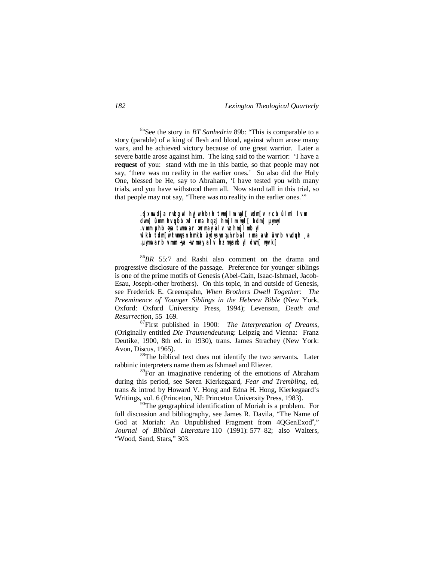<sup>85</sup>See the story in *BT Sanhedrin* 89b: "This is comparable to a story (parable) of a king of flesh and blood, against whom arose many wars, and he achieved victory because of one great warrior. Later a severe battle arose against him. The king said to the warrior: 'I have a **request** of you: stand with me in this battle, so that people may not say, 'there was no reality in the earlier ones.' So also did the Holy One, blessed be He, say to Abraham, 'I have tested you with many trials, and you have withstood them all. Now stand tall in this trial, so that people may not say, "There was no reality in the earlier ones.'"

> **.÷jxnw dja rwbg wl hyjw hbrh twmjlm wyl[ wdm[v rcb ûlml lvm dwm[ ûmm hvqbb >wl rma hqzj hmjlm wyl[ hdm[ µymyl .vmm µhb ÷ya twnwvar >wrmay alv wz hmjlmb yl wlkb tdm[w twnwysn hmkb ûytysyn >µhrbal rma awh ûwrb vwdqh ¸a .µynwvarb vmm ÷ya ÷wrmay alv hz nwysnb yl dwm[ wyvk[**

<sup>86</sup>*BR* 55:7 and Rashi also comment on the drama and progressive disclosure of the passage. Preference for younger siblings is one of the prime motifs of Genesis (Abel-Cain, Isaac-Ishmael, Jacob-Esau, Joseph-other brothers). On this topic, in and outside of Genesis, see Frederick E. Greenspahn, *When Brothers Dwell Together: The Preeminence of Younger Siblings in the Hebrew Bible* (New York, Oxford: Oxford University Press, 1994); Levenson, *Death and Resurrection*, 55–169.

<sup>87</sup>First published in 1900: *The Interpretation of Dreams*, (Originally entitled *Die Traumendeutun*g: Leipzig and Vienna: Franz Deutike, 1900, 8th ed. in 1930), trans. James Strachey (New York: Avon, Discus, 1965).

<sup>88</sup>The biblical text does not identify the two servants. Later rabbinic interpreters name them as Ishmael and Eliezer.

<sup>89</sup>For an imaginative rendering of the emotions of Abraham during this period, see Søren Kierkegaard, *Fear and Trembling*, ed, trans & introd by Howard V. Hong and Edna H. Hong, Kierkegaard's Writings, vol. 6 (Princeton, NJ: Princeton University Press, 1983).

 $90$ <sup>90</sup>The geographical identification of Moriah is a problem. For full discussion and bibliography, see James R. Davila, "The Name of God at Moriah: An Unpublished Fragment from 4QGenExod<sup>a</sup>," *Journal of Biblical Literature* 110 (1991): 577–82; also Walters, "Wood, Sand, Stars," 303.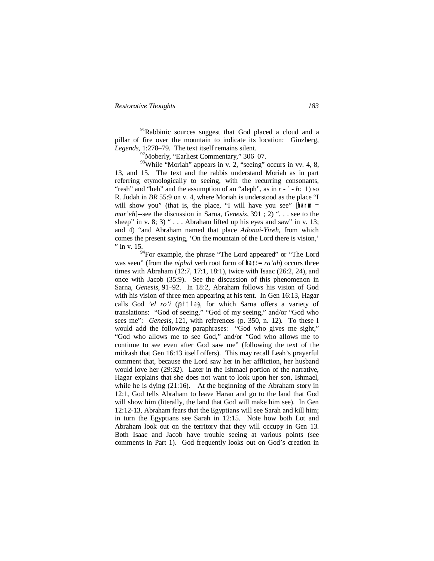$91$ Rabbinic sources suggest that God placed a cloud and a pillar of fire over the mountain to indicate its location: Ginzberg, *Legends*, 1:278–79. The text itself remains silent.

<sup>92</sup>Moberly, "Earliest Commentary," 306–07.

 $93$ While "Moriah" appears in v. 2, "seeing" occurs in vv. 4, 8, 13, and 15. The text and the rabbis understand Moriah as in part referring etymologically to seeing, with the recurring consonants, "resh" and "heh" and the assumption of an "aleph", as in *r - ' - h*: 1) so R. Judah in *BR* 55:9 on v. 4, where Moriah is understood as the place "I will show you" (that is, the place, "I will have you see" [harm = *mar'eh*]--see the discussion in Sarna, *Genesis*, 391 ; 2) ". . . see to the sheep" in v. 8; 3) " $\ldots$  Abraham lifted up his eyes and saw" in v. 13; and 4) "and Abraham named that place *Adonai-Yireh,* from which comes the present saying, 'On the mountain of the Lord there is vision,' " in v. 15.

<sup>94</sup>For example, the phrase "The Lord appeared" or "The Lord was seen" (from the *niphal* verb root form of  $\text{har}: = ra'ah$ ) occurs three times with Abraham (12:7, 17:1, 18:1), twice with Isaac (26:2, 24), and once with Jacob (35:9). See the discussion of this phenomenon in Sarna, *Genesis*, 91–92. In 18:2, Abraham follows his vision of God with his vision of three men appearing at his tent. In Gen 16:13, Hagar calls God 'el ro'i (yair† la), for which Sarna offers a variety of translations: "God of seeing," "God of my seeing," and/or "God who sees me": *Genesis*, 121, with references (p. 350, n. 12). To these I would add the following paraphrases: "God who gives me sight," "God who allows me to see God," and/or "God who allows me to continue to see even after God saw me" (following the text of the midrash that Gen 16:13 itself offers). This may recall Leah's prayerful comment that, because the Lord saw her in her affliction, her husband would love her (29:32). Later in the Ishmael portion of the narrative, Hagar explains that she does not want to look upon her son, Ishmael, while he is dying (21:16). At the beginning of the Abraham story in 12:1, God tells Abraham to leave Haran and go to the land that God will show him (literally, the land that God will make him see). In Gen 12:12-13, Abraham fears that the Egyptians will see Sarah and kill him; in turn the Egyptians see Sarah in 12:15. Note how both Lot and Abraham look out on the territory that they will occupy in Gen 13. Both Isaac and Jacob have trouble seeing at various points (see comments in Part 1). God frequently looks out on God's creation in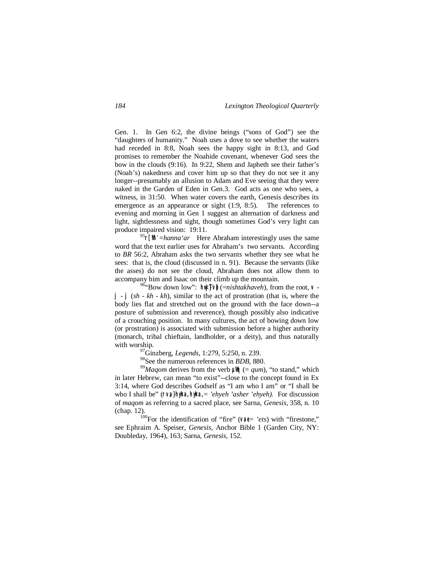Gen. 1. In Gen 6:2, the divine beings ("sons of God") see the "daughters of humanity." Noah uses a dove to see whether the waters had receded in 8:8, Noah sees the happy sight in 8:13, and God promises to remember the Noahide covenant, whenever God sees the bow in the clouds (9:16). In 9:22, Shem and Japheth see their father's (Noah's) nakedness and cover him up so that they do not see it any longer--presumably an allusion to Adam and Eve seeing that they were naked in the Garden of Eden in Gen.3. God acts as one who sees, a witness, in 31:50. When water covers the earth, Genesis describes its emergence as an appearance or sight (1:9, 8:5). The references to evening and morning in Gen 1 suggest an alternation of darkness and light, sightlessness and sight, though sometimes God's very light can produce impaired vision: 19:11.

 $\int^{95}$ [Nh' =*hanna'ar* Here Abraham interestingly uses the same word that the text earlier uses for Abraham's two servants. According to *BR* 56:2, Abraham asks the two servants whether they see what he sees: that is, the cloud (discussed in n. 91). Because the servants (like the asses) do not see the cloud, Abraham does not allow them to accompany him and Isaac on their climb up the mountain.

**96. Bow down low":**  $\exists$   $\forall$   $\parallel$   $\exists$   $\forall$   $\parallel$  (=*nishtakhaveh*), from the root,  $\vee$  **j** - **j** (*sh* - *kh* - *kh*), similar to the act of prostration (that is, where the body lies flat and stretched out on the ground with the face down--a posture of submission and reverence), though possibly also indicative of a crouching position. In many cultures, the act of bowing down low (or prostration) is associated with submission before a higher authority (monarch, tribal chieftain, landholder, or a deity), and thus naturally with worship.

<sup>97</sup>Ginzberg, *Legends*, 1:279, 5:250, n. 239.

<sup>98</sup>See the numerous references in *BDB*, 880.

<sup>99</sup>*Maqom* derives from the verb  $\vert \mathbb{U} \vert \vert \vert = (qum)$ , "to stand," which in later Hebrew, can mean "to exist"--close to the concept found in Ex 3:14, where God describes Godself as "I am who I am" or "I shall be who I shall be" ( $\lceil \vee a \rceil$  hyka,  $\lceil \vee \rceil$  *hyka*, = *'ehyeh 'asher 'ehyeh*). For discussion of *maqom* as referring to a sacred place, see Sarna, *Genesis*, 358, n. 10 (chap. 12).

<sup>100</sup>For the identification of "fire" ( $\forall$  $\partial \ell$  = *'ets*) with "firestone," see Ephraim A. Speiser, *Genesis*, Anchor Bible 1 (Garden City, NY: Doubleday, 1964), 163; Sarna, *Genesis*, 152.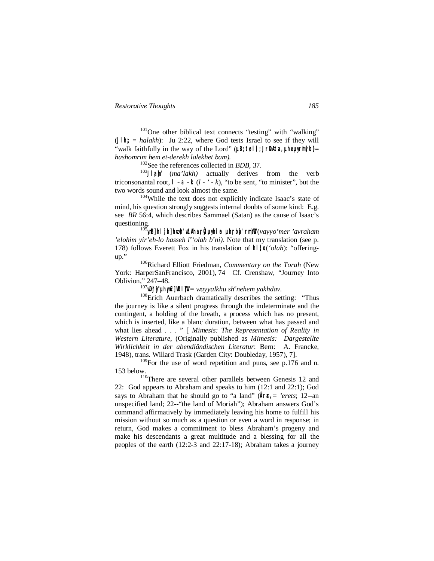<sup>101</sup>One other biblical text connects "testing" with "walking" ( $J \parallel h$ ; = *halakh*): Ju 2:22, where God tests Israel to see if they will "walk faithfully in the way of the Lord" ( $\mu$ B;  $\tau$ øl,  $\tau$ Jr $\alpha$ BAta,  $\mu$ he $\mu$ yrh $\sigma$ h) = *hashomrim hem et-derekh lalekhet bam).*

<sup>102</sup>See the references collected in *BDB*, 37.

103<sup>J</sup>l<sup>103</sup><sup>j</sup>l<sub>2</sub>m<sup>'</sup> (*ma'lakh*) actually derives from the verb triconsonantal root,  $| -a - k(l - r - k)$ , "to be sent, "to minister", but the two words sound and look almost the same.

<sup>104</sup>While the text does not explicitly indicate Isaac's state of mind, his question strongly suggests internal doubts of some kind: E.g. see *BR* 56:4, which describes Sammael (Satan) as the cause of Isaac's questioning.

<sup>105</sup>**ynIB] hl;[ol] h\*,h' w\*LAha,rÒyI µyhiloa µh;r:b]a' rm,YOw"** (*vayyo'mer 'avraham*  'elohim yir'eh-lo hasseh l<sup>e</sup>'olah  $b^e$ ni). Note that my translation (see p. 178) follows Everett Fox in his translation of **hl;[o** (*'olah*): "offeringup."

<sup>106</sup>Richard Elliott Friedman, *Commentary on the Torah* (New York: HarperSanFrancisco, 2001), 74 Cf. Crenshaw, "Journey Into Oblivion," 247–48.

 $^{107}$ WD:j j/' µhyn[v] Wk| ]W = *wayyalkhu sh<sup>e</sup>nehem yakhdav*.

<sup>108</sup>Erich Auerbach dramatically describes the setting: "Thus the journey is like a silent progress through the indeterminate and the contingent, a holding of the breath, a process which has no present, which is inserted, like a blanc duration, between what has passed and what lies ahead . . . " [ *Mimesis: The Representation of Reality in Western Literature*, (Originally published as *Mimesis: Dargestellte Wirklichkeit in der abendländischen Literatur*: Bern: A. Francke, 1948), trans. Willard Trask (Garden City: Doubleday, 1957), 7].

 $109$ For the use of word repetition and puns, see p.176 and n. 153 below.

<sup>110</sup>There are several other parallels between Genesis 12 and 22: God appears to Abraham and speaks to him (12:1 and 22:1); God says to Abraham that he should go to "a land"  $(\text{Ar} \otimes \text{Ar} = \text{er} \otimes \text{er} \otimes; 12$ --an unspecified land; 22--"the land of Moriah"); Abraham answers God's command affirmatively by immediately leaving his home to fulfill his mission without so much as a question or even a word in response; in return, God makes a commitment to bless Abraham's progeny and make his descendants a great multitude and a blessing for all the peoples of the earth (12:2-3 and 22:17-18); Abraham takes a journey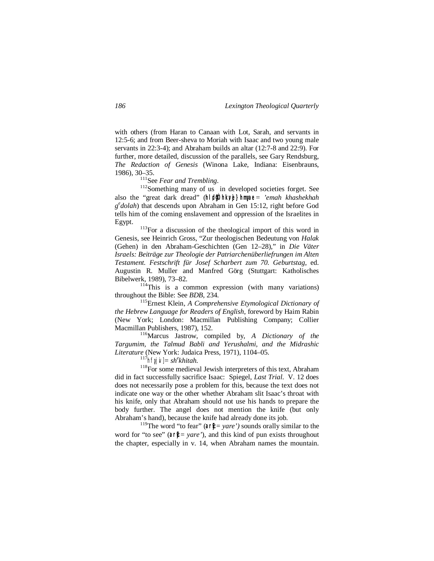with others (from Haran to Canaan with Lot, Sarah, and servants in 12:5-6; and from Beer-sheva to Moriah with Isaac and two young male servants in 22:3-4); and Abraham builds an altar (12:7-8 and 22:9). For further, more detailed, discussion of the parallels, see Gary Rendsburg, *The Redaction of Genesis* (Winona Lake, Indiana: Eisenbrauns, 1986), 30–35.

<sup>111</sup>See *Fear and Trembling*.

<sup>112</sup>Something many of us in developed societies forget. See also the "great dark dread" (hlid $\phi$ <sup>b</sup> hkvi} hmyae = 'emah khashekhah *g e dolah*) that descends upon Abraham in Gen 15:12, right before God tells him of the coming enslavement and oppression of the Israelites in Egypt.

<sup>113</sup>For a discussion of the theological import of this word in Genesis, see Heinrich Gross, "Zur theologischen Bedeutung von *Halak* (Gehen) in den Abraham-Geschichten (Gen 12–28)," in *Die Väter Israels: Beiträge zur Theologie der Patriarchenüberliefrungen im Alten Testament. Festschrift für Josef Scharbert zum 70. Geburtstag*, ed. Augustin R. Muller and Manfred Görg (Stuttgart: Katholisches Bibelwerk, 1989), 73–82.

 $114$ This is a common expression (with many variations) throughout the Bible: See *BDB*, 234.

<sup>115</sup>Ernest Klein, *A Comprehensive Etymological Dictionary of the Hebrew Language for Readers of English*, foreword by Haim Rabin (New York; London: Macmillan Publishing Company; Collier Macmillan Publishers, 1987), 152.

<sup>116</sup>Marcus Jastrow, compiled by, *A Dictionary of the Targumim, the Talmud Babli and Yerushalmi, and the Midrashic Literature* (New York: Judaica Press, 1971), 1104–05.

 $^{117}$ hfyj $|N| = sh^ekhitah$ .

<sup>118</sup>For some medieval Jewish interpreters of this text, Abraham did in fact successfully sacrifice Isaac: Spiegel, *Last Trial*. V. 12 does does not necessarily pose a problem for this, because the text does not indicate one way or the other whether Abraham slit Isaac's throat with his knife, only that Abraham should not use his hands to prepare the body further. The angel does not mention the knife (but only Abraham's hand), because the knife had already done its job.

<sup>119</sup>The word "to fear" ( $\partial f$  = *yare'*) sounds orally similar to the word for "to see" ( $ar\psi = \gamma$ *are*"), and this kind of pun exists throughout the chapter, especially in v. 14, when Abraham names the mountain.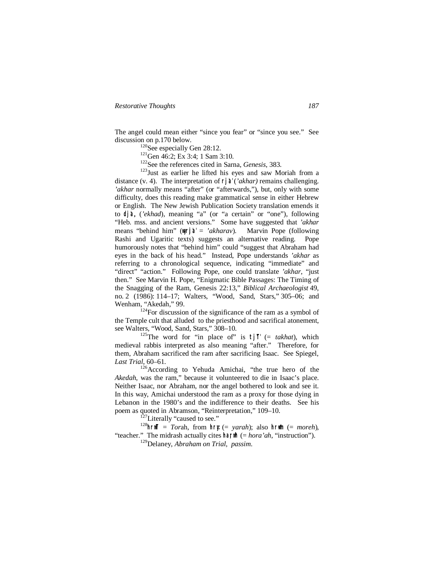The angel could mean either "since you fear" or "since you see." See discussion on p.170 below.

<sup>120</sup>See especially Gen 28:12.

<sup>121</sup>Gen 46:2; Ex 3:4; 1 Sam 3:10.

<sup>122</sup>See the references cited in Sarna, *Genesis*, 383.

<sup>123</sup>Just as earlier he lifted his eyes and saw Moriah from a distance (v. 4). The interpretation of **rj'a'** (*'akhar)* remains challenging. *'akhar* normally means "after" (or "afterwards,"), but, only with some difficulty, does this reading make grammatical sense in either Hebrew or English. The New Jewish Publication Society translation emends it to **dj'a**, (*'ekhad*), meaning "a" (or "a certain" or "one"), following "Heb. mss. and ancient versions." Some have suggested that *'akhar* means "behind him" (**wyr:j'a'** = *'akharav*). Marvin Pope (following Rashi and Ugaritic texts) suggests an alternative reading. Pope humorously notes that "behind him" could "suggest that Abraham had eyes in the back of his head." Instead, Pope understands *'akhar* as referring to a chronological sequence, indicating "immediate" and "direct" "action." Following Pope, one could translate *'akhar*, "just then." See Marvin H. Pope, "Enigmatic Bible Passages: The Timing of the Snagging of the Ram, Genesis 22:13," *Biblical Archaeologist* 49, no. 2 (1986): 114–17; Walters, "Wood, Sand, Stars," 305–06; and Wenham, "Akedah," 99.

 $124$ For discussion of the significance of the ram as a symbol of the Temple cult that alluded to the priesthood and sacrifical atonement, see Walters, "Wood, Sand, Stars," 308–10.

<sup>125</sup>The word for "in place of" is  $\uparrow$   $\uparrow$  (= *takhat*), which medieval rabbis interpreted as also meaning "after." Therefore, for them, Abraham sacrificed the ram after sacrificing Isaac. See Spiegel, *Last Trial*, 60–61.

<sup>126</sup>According to Yehuda Amichai, "the true hero of the *Akedah*, was the ram," because it volunteered to die in Isaac's place. Neither Isaac, nor Abraham, nor the angel bothered to look and see it. In this way, Amichai understood the ram as a proxy for those dying in Lebanon in the 1980's and the indifference to their deaths. See his poem as quoted in Abramson, "Reinterpretation," 109–10.

<sup>127</sup>Literally "caused to see."

 $128$ <sub>hrif</sub>  $=$  *Torah*, from hry  $(= \text{~yarah})$ ; also hrym  $(= \text{~moreh})$ , "teacher." The midrash actually cites  $\hat{\theta}$  hand (= *hora'ah*, "instruction").

<sup>129</sup>Delaney, *Abraham on Trial*, *passim*.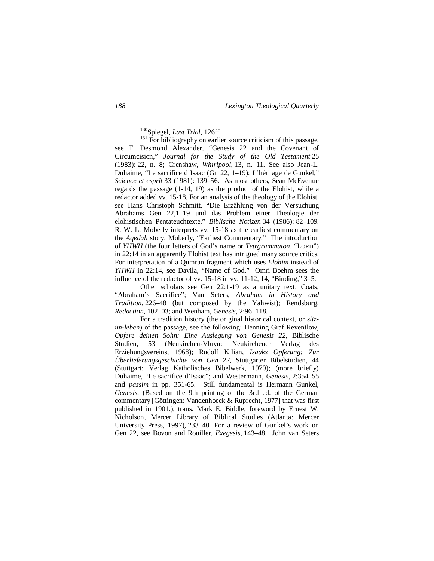<sup>130</sup>Spiegel, *Last Trial*, 126ff.

<sup>131</sup> For bibliography on earlier source criticism of this passage, see T. Desmond Alexander, "Genesis 22 and the Covenant of Circumcision," *Journal for the Study of the Old Testament* 25 (1983): 22, n. 8; Crenshaw, *Whirlpool*, 13, n. 11. See also Jean-L. Duhaime, "Le sacrifice d'Isaac (Gn 22, 1–19): L'héritage de Gunkel," *Science et esprit* 33 (1981): 139–56. As most others, Sean McEvenue regards the passage (1-14, 19) as the product of the Elohist, while a redactor added vv. 15-18. For an analysis of the theology of the Elohist, see Hans Christoph Schmitt, "Die Erzählung von der Versuchung Abrahams Gen 22,1–19 und das Problem einer Theologie der elohistischen Pentateuchtexte," *Biblische Notizen* 34 (1986): 82–109. R. W. L. Moberly interprets vv. 15-18 as the earliest commentary on the *Aqedah* story: Moberly, "Earliest Commentary." The introduction of *YHWH* (the four letters of God's name or *Tetrgrammaton*, "LORD") in 22:14 in an apparently Elohist text has intrigued many source critics. For interpretation of a Qumran fragment which uses *Elohim* instead of *YHWH* in 22:14, see Davila, "Name of God." Omri Boehm sees the influence of the redactor of vv. 15-18 in vv. 11-12, 14, "Binding," 3–5.

Other scholars see Gen 22:1-19 as a unitary text: Coats, "Abraham's Sacrifice"; Van Seters, *Abraham in History and Tradition*, 226–48 (but composed by the Yahwist); Rendsburg, *Redaction*, 102–03; and Wenham, *Genesis*, 2:96–118.

For a tradition history (the original historical context, or *sitzim-leben*) of the passage, see the following: Henning Graf Reventlow, *Opfere deinen Sohn: Eine Auslegung von Genesis 22*, Biblische Studien, 53 (Neukirchen-Vluyn: Neukirchener Verlag des Erziehungsvereins, 1968); Rudolf Kilian, *Isaaks Opferung: Zur Überlieferungsgeschichte von Gen 22*, Stuttgarter Bibelstudien, 44 (Stuttgart: Verlag Katholisches Bibelwerk, 1970); (more briefly) Duhaime, "Le sacrifice d'Isaac"; and Westermann, *Genesis*, 2:354–55 and *passim* in pp. 351-65. Still fundamental is Hermann Gunkel, *Genesis*, (Based on the 9th printing of the 3rd ed. of the German commentary [Göttingen: Vandenhoeck & Ruprecht, 1977] that was first published in 1901.), trans. Mark E. Biddle, foreword by Ernest W. Nicholson, Mercer Library of Biblical Studies (Atlanta: Mercer University Press, 1997), 233–40. For a review of Gunkel's work on Gen 22, see Bovon and Rouiller, *Exegesis*, 143–48. John van Seters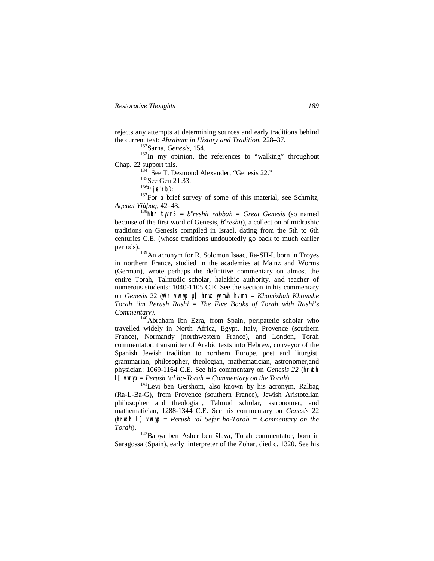rejects any attempts at determining sources and early traditions behind the current text: *Abraham in History and Tradition*, 228–37.

<sup>132</sup>Sarna, *Genesis*, 154.

 $133$ In my opinion, the references to "walking" throughout Chap. 22 support this.

<sup>134</sup> See T. Desmond Alexander, "Genesis 22."

<sup>135</sup>See Gen 21:33.

<sup>136</sup>**³rjea' rb;**D:

 $137$ For a brief survey of some of this material, see Schmitz, *Aqedat Yiùþaq*, 42–43.

138hbr **tyvrB** =  $b^e$ reshit rabbah = Great Genesis (so named because of the first word of Genesis, *b e reshit*), a collection of midrashic traditions on Genesis compiled in Israel, dating from the 5th to 6th centuries C.E. (whose traditions undoubtedly go back to much earlier periods).

<sup>139</sup>An acronym for R. Solomon Isaac, Ra-SH-I, born in Troyes in northern France, studied in the academies at Mainz and Worms (German), wrote perhaps the definitive commentary on almost the entire Torah, Talmudic scholar, halakhic authority, and teacher of numerous students: 1040-1105 C.E. See the section in his commentary on *Genesis* 22 (**y\*vr vwryp µ[ hrwt yvmwh hvmh** = *Khamishah Khomshe Torah 'im Perush Rashi* = *The Five Books of Torah with Rashi's Commentary).*

<sup>140</sup>Abraham Ibn Ezra, from Spain, peripatetic scholar who travelled widely in North Africa, Egypt, Italy, Provence (southern France), Normandy (northwestern France), and London, Torah commentator, transmitter of Arabic texts into Hebrew, conveyor of the Spanish Jewish tradition to northern Europe, poet and liturgist, grammarian, philosopher, theologian, mathematician, astronomer,and physician: 1069-1164 C.E. See his commentary on *Genesis 22* (**hrwth l[ vwryp** = *Perush 'al ha-Torah = Commentary on the Torah*).

<sup>141</sup>Levi ben Gershom, also known by his acronym, Ralbag (Ra-L-Ba-G), from Provence (southern France), Jewish Aristotelian philosopher and theologian, Talmud scholar, astronomer, and mathematician, 1288-1344 C.E. See his commentary on *Genesis* 22  ${\rm (hruth \,} \mid \lceil \quad \text{wrvp} \rceil = \text{Perush} \text{ 'al Sefer \,} \text{ha-Torah} = \text{Commentary \,} \text{on the \,}$ *Torah*).

<sup>142</sup>Baþya ben Asher ben ÿlava, Torah commentator, born in Saragossa (Spain), early interpreter of the Zohar, died c. 1320. See his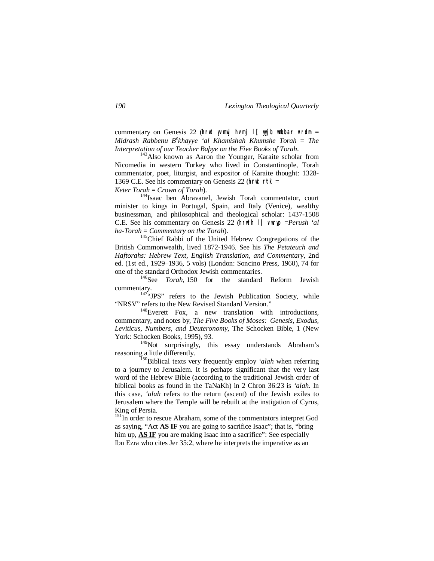commentary on Genesis 22 (**hrwt yvmwj hvmj l[ yyjb wnbbar vrdm** = *Midrash Rabbenu B<sup>e</sup> khayye 'al Khamishah Khumshe Torah* = *The Interpretation of our Teacher Baþye on the Five Books of Torah*.

<sup>143</sup>Also known as Aaron the Younger, Karaite scholar from Nicomedia in western Turkey who lived in Constantinople, Torah commentator, poet, liturgist, and expositor of Karaite thought: 1328- 1369 C.E. See his commentary on Genesis 22 (**hrwt rtk** = *Keter Torah* = *Crown of Torah*).

<sup>144</sup>Isaac ben Abravanel, Jewish Torah commentator, court minister to kings in Portugal, Spain, and Italy (Venice), wealthy businessman, and philosophical and theological scholar: 1437-1508 C.E. See his commentary on Genesis 22 (**hrwth l[ vwryp** =*Perush 'al ha-Torah* = *Commentary on the Torah*).

<sup>145</sup>Chief Rabbi of the United Hebrew Congregations of the British Commonwealth, lived 1872-1946. See his *The Petateuch and Haftorahs: Hebrew Text, English Translation, and Commentary*, 2nd ed. (1st ed., 1929–1936, 5 vols) (London: Soncino Press, 1960), 74 for one of the standard Orthodox Jewish commentaries.

<sup>146</sup>See *Torah*, 150 for the standard Reform Jewish commentary.

 $147$ "JPS" refers to the Jewish Publication Society, while "NRSV" refers to the New Revised Standard Version."

<sup>148</sup>Everett Fox, a new translation with introductions, commentary, and notes by, *The Five Books of Moses: Genesis, Exodus, Leviticus, Numbers, and Deuteronomy*, The Schocken Bible, 1 (New York: Schocken Books, 1995), 93.

<sup>149</sup>Not surprisingly, this essay understands Abraham's reasoning a little differently.

<sup>150</sup>Biblical texts very frequently employ *'alah* when referring to a journey to Jerusalem. It is perhaps significant that the very last word of the Hebrew Bible (according to the traditional Jewish order of biblical books as found in the TaNaKh) in 2 Chron 36:23 is *'alah*. In this case, *'alah* refers to the return (ascent) of the Jewish exiles to Jerusalem where the Temple will be rebuilt at the instigation of Cyrus, King of Persia.

<sup>151</sup>In order to rescue Abraham, some of the commentators interpret God as saying, "Act **AS IF** you are going to sacrifice Isaac"; that is, "bring him up, **AS IF** you are making Isaac into a sacrifice": See especially Ibn Ezra who cites Jer 35:2, where he interprets the imperative as an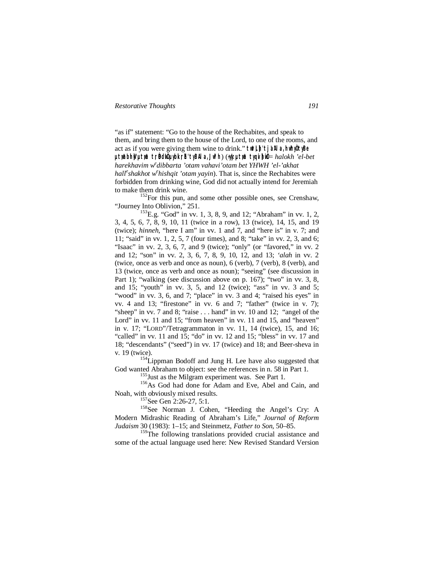"as if" statement: "Go to the house of the Rechabites, and speak to them, and bring them to the house of the Lord, to one of the rooms, and act as if you were giving them wine to drink." twill the all a hwhyout yBe **µt;w\*abih}w" µt;w\*a t;rÒBdIwÒ µybik;rEh' tyBAla, Jw\*lh**) (**÷yIy: µt;w\*a tyqiv]hiwÒ** = *halokh 'el-bet harekhavim w e dibbarta 'otam vahavi'otam bet YHWH 'el-'akhat*  hall<sup>e</sup> shakhot w<sup>e</sup> hishqit 'otam yayin). That is, since the Rechabites were forbidden from drinking wine, God did not actually intend for Jeremiah to make them drink wine.

<sup>152</sup>For this pun, and some other possible ones, see Crenshaw, "Journey Into Oblivion," 251.

 $^{153}$ E.g. "God" in vv. 1, 3, 8, 9, and 12; "Abraham" in vv. 1, 2, 3, 4, 5, 6, 7, 8, 9, 10, 11 (twice in a row), 13 (twice), 14, 15, and 19 (twice); *hinneh*, "here I am" in vv. 1 and 7, and "here is" in v. 7; and 11; "said" in vv. 1, 2, 5, 7 (four times), and 8; "take" in vv. 2, 3, and 6; "Isaac" in vv. 2, 3, 6, 7, and 9 (twice); "only" (or "favored," in vv. 2 and 12; "son" in vv. 2, 3, 6, 7, 8, 9, 10, 12, and 13; *'alah* in vv. 2 (twice, once as verb and once as noun), 6 (verb), 7 (verb), 8 (verb), and 13 (twice, once as verb and once as noun); "seeing" (see discussion in Part 1); "walking (see discussion above on p. 167); "two" in vv. 3, 8, and 15; "youth" in vv. 3, 5, and 12 (twice); "ass" in vv. 3 and 5; "wood" in vv. 3, 6, and 7; "place" in vv. 3 and 4; "raised his eyes" in vv. 4 and 13; "firestone" in vv. 6 and 7; "father" (twice in v. 7); "sheep" in vv. 7 and 8; "raise . . . hand" in vv. 10 and 12; "angel of the Lord" in vv. 11 and 15; "from heaven" in vv. 11 and 15, and "heaven" in v. 17; "LORD"/Tetragrammaton in vv. 11, 14 (twice), 15, and 16; "called" in vv. 11 and 15; "do" in vv. 12 and 15; "bless" in vv. 17 and 18; "descendants" ("seed") in vv. 17 (twice) and 18; and Beer-sheva in v. 19 (twice).

<sup>154</sup>Lippman Bodoff and Jung H. Lee have also suggested that God wanted Abraham to object: see the references in n. 58 in Part 1.

<sup>155</sup> Just as the Milgram experiment was. See Part 1.

<sup>156</sup>As God had done for Adam and Eve, Abel and Cain, and Noah, with obviously mixed results.

<sup>157</sup>See Gen 2:26-27, 5:1.

<sup>158</sup>See Norman J. Cohen, "Heeding the Angel's Cry: A Modern Midrashic Reading of Abraham's Life," *Journal of Reform Judaism* 30 (1983): 1–15; and Steinmetz, *Father to Son*, 50–85.

<sup>159</sup>The following translations provided crucial assistance and some of the actual language used here: New Revised Standard Version